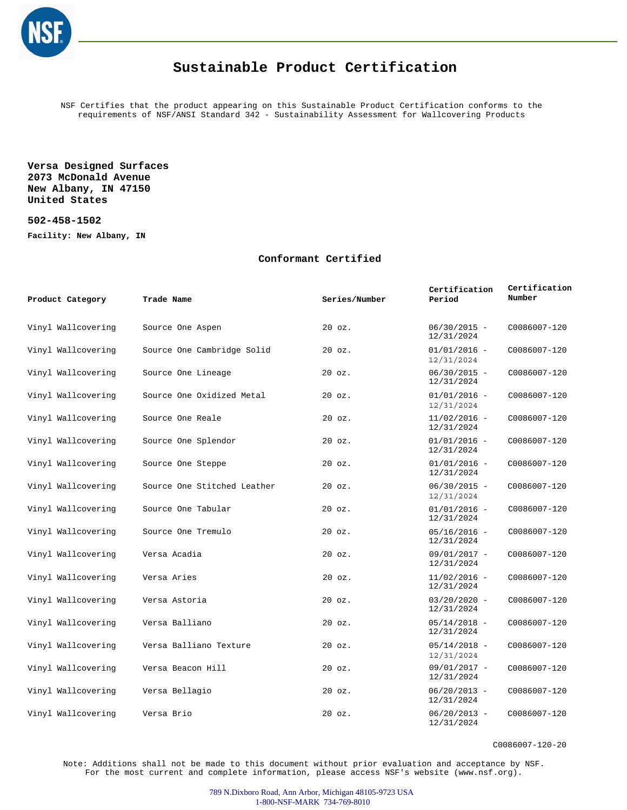

## **Sustainable Product Certification**

NSF Certifies that the product appearing on this Sustainable Product Certification conforms to the requirements of NSF/ANSI Standard 342 - Sustainability Assessment for Wallcovering Products

**Versa Designed Surfaces 2073 McDonald Avenue New Albany, IN 47150 United States**

**502-458-1502**

**Facility: New Albany, IN**

## **Conformant Certified**

| Product Category   | Trade Name                  | Series/Number | Certification<br>Period      | Certification<br>Number |
|--------------------|-----------------------------|---------------|------------------------------|-------------------------|
| Vinyl Wallcovering | Source One Aspen            | $20$ $oz.$    | $06/30/2015 -$<br>12/31/2024 | C0086007-120            |
| Vinyl Wallcovering | Source One Cambridge Solid  | $20$ $oz.$    | $01/01/2016 -$<br>12/31/2024 | C0086007-120            |
| Vinyl Wallcovering | Source One Lineage          | $20$ $oz.$    | $06/30/2015 -$<br>12/31/2024 | C0086007-120            |
| Vinyl Wallcovering | Source One Oxidized Metal   | $20$ $oz.$    | $01/01/2016 -$<br>12/31/2024 | C0086007-120            |
| Vinyl Wallcovering | Source One Reale            | $20$ $oz.$    | $11/02/2016 -$<br>12/31/2024 | C0086007-120            |
| Vinyl Wallcovering | Source One Splendor         | $20$ $oz.$    | $01/01/2016 -$<br>12/31/2024 | C0086007-120            |
| Vinyl Wallcovering | Source One Steppe           | $20$ $oz.$    | $01/01/2016 -$<br>12/31/2024 | C0086007-120            |
| Vinyl Wallcovering | Source One Stitched Leather | $20$ $oz.$    | $06/30/2015 -$<br>12/31/2024 | C0086007-120            |
| Vinyl Wallcovering | Source One Tabular          | $20$ $oz.$    | $01/01/2016 -$<br>12/31/2024 | C0086007-120            |
| Vinyl Wallcovering | Source One Tremulo          | $20$ $oz.$    | $05/16/2016 -$<br>12/31/2024 | C0086007-120            |
| Vinyl Wallcovering | Versa Acadia                | $20$ $oz.$    | $09/01/2017 -$<br>12/31/2024 | C0086007-120            |
| Vinyl Wallcovering | Versa Aries                 | $20$ $oz.$    | $11/02/2016 -$<br>12/31/2024 | C0086007-120            |
| Vinyl Wallcovering | Versa Astoria               | $20$ $oz.$    | $03/20/2020 -$<br>12/31/2024 | C0086007-120            |
| Vinyl Wallcovering | Versa Balliano              | 20 oz.        | $05/14/2018 -$<br>12/31/2024 | C0086007-120            |
| Vinyl Wallcovering | Versa Balliano Texture      | $20$ $oz.$    | $05/14/2018 -$<br>12/31/2024 | C0086007-120            |
| Vinyl Wallcovering | Versa Beacon Hill           | $20$ $oz.$    | $09/01/2017 -$<br>12/31/2024 | C0086007-120            |
| Vinyl Wallcovering | Versa Bellagio              | $20$ $oz.$    | $06/20/2013 -$<br>12/31/2024 | C0086007-120            |
| Vinyl Wallcovering | Versa Brio                  | $20$ $oz.$    | $06/20/2013 -$<br>12/31/2024 | C0086007-120            |

C0086007-120-20

Note: Additions shall not be made to this document without prior evaluation and acceptance by NSF. For the most current and complete information, please access NSF's website (www.nsf.org).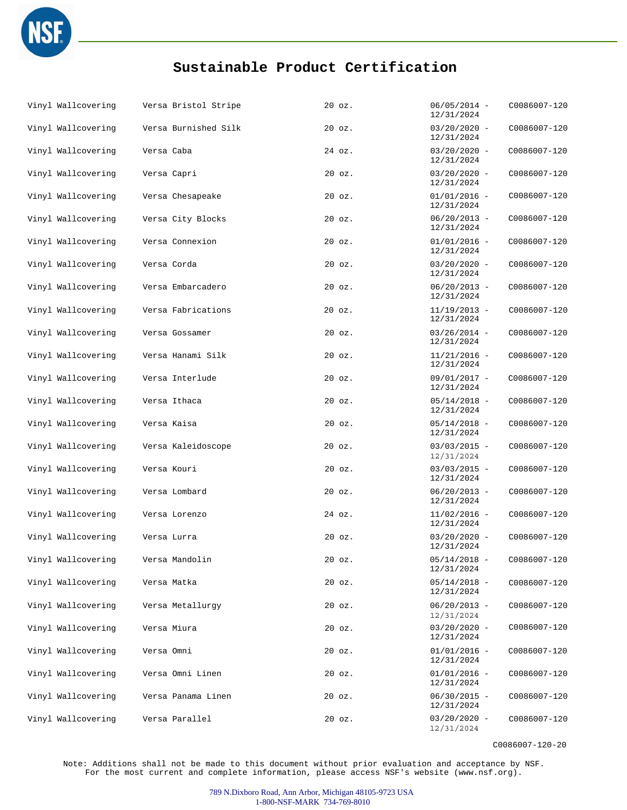

## **Sustainable Product Certification**

| Vinyl Wallcovering | Versa Bristol Stripe | $20$ $oz.$ | $06/05/2014 -$<br>12/31/2024 | C0086007-120 |
|--------------------|----------------------|------------|------------------------------|--------------|
| Vinyl Wallcovering | Versa Burnished Silk | $20$ $oz.$ | $03/20/2020 -$<br>12/31/2024 | C0086007-120 |
| Vinyl Wallcovering | Versa Caba           | 24 oz.     | $03/20/2020 -$<br>12/31/2024 | C0086007-120 |
| Vinyl Wallcovering | Versa Capri          | $20$ $oz.$ | $03/20/2020 -$<br>12/31/2024 | C0086007-120 |
| Vinyl Wallcovering | Versa Chesapeake     | $20$ $oz.$ | $01/01/2016 -$<br>12/31/2024 | C0086007-120 |
| Vinyl Wallcovering | Versa City Blocks    | $20$ $oz.$ | $06/20/2013 -$<br>12/31/2024 | C0086007-120 |
| Vinyl Wallcovering | Versa Connexion      | $20$ $oz.$ | $01/01/2016 -$<br>12/31/2024 | C0086007-120 |
| Vinyl Wallcovering | Versa Corda          | $20$ $oz.$ | $03/20/2020 -$<br>12/31/2024 | C0086007-120 |
| Vinyl Wallcovering | Versa Embarcadero    | $20$ $oz.$ | $06/20/2013 -$<br>12/31/2024 | C0086007-120 |
| Vinyl Wallcovering | Versa Fabrications   | 20 oz.     | $11/19/2013 -$<br>12/31/2024 | C0086007-120 |
| Vinyl Wallcovering | Versa Gossamer       | $20$ $oz.$ | $03/26/2014 -$<br>12/31/2024 | C0086007-120 |
| Vinyl Wallcovering | Versa Hanami Silk    | $20$ $oz.$ | $11/21/2016 -$<br>12/31/2024 | C0086007-120 |
| Vinyl Wallcovering | Versa Interlude      | $20$ $oz.$ | $09/01/2017 -$<br>12/31/2024 | C0086007-120 |
| Vinyl Wallcovering | Versa Ithaca         | $20$ $oz.$ | $05/14/2018 -$<br>12/31/2024 | C0086007-120 |
| Vinyl Wallcovering | Versa Kaisa          | $20$ $oz.$ | $05/14/2018 -$<br>12/31/2024 | C0086007-120 |
| Vinyl Wallcovering | Versa Kaleidoscope   | $20$ $oz.$ | $03/03/2015 -$<br>12/31/2024 | C0086007-120 |
| Vinyl Wallcovering | Versa Kouri          | $20$ $oz.$ | $03/03/2015 -$<br>12/31/2024 | C0086007-120 |
| Vinyl Wallcovering | Versa Lombard        | $20$ $oz.$ | $06/20/2013 -$<br>12/31/2024 | C0086007-120 |
| Vinyl Wallcovering | Versa Lorenzo        | 24 oz.     | $11/02/2016 -$<br>12/31/2024 | C0086007-120 |
| Vinyl Wallcovering | Versa Lurra          | $20$ $oz.$ | $03/20/2020 -$<br>12/31/2024 | C0086007-120 |
| Vinyl Wallcovering | Versa Mandolin       | 20 oz.     | $05/14/2018 -$<br>12/31/2024 | C0086007-120 |
| Vinyl Wallcovering | Versa Matka          | $20$ $oz.$ | $05/14/2018 -$<br>12/31/2024 | C0086007-120 |
| Vinyl Wallcovering | Versa Metallurgy     | $20$ $oz.$ | $06/20/2013 -$<br>12/31/2024 | C0086007-120 |
| Vinyl Wallcovering | Versa Miura          | 20 oz.     | $03/20/2020 -$<br>12/31/2024 | C0086007-120 |
| Vinyl Wallcovering | Versa Omni           | $20$ $oz.$ | $01/01/2016 -$<br>12/31/2024 | C0086007-120 |
| Vinyl Wallcovering | Versa Omni Linen     | $20$ $oz.$ | $01/01/2016 -$<br>12/31/2024 | C0086007-120 |
| Vinyl Wallcovering | Versa Panama Linen   | $20$ $oz.$ | $06/30/2015 -$<br>12/31/2024 | C0086007-120 |
| Vinyl Wallcovering | Versa Parallel       | 20 oz.     | $03/20/2020 -$<br>12/31/2024 | C0086007-120 |

C0086007-120-20

Note: Additions shall not be made to this document without prior evaluation and acceptance by NSF. For the most current and complete information, please access NSF's website (www.nsf.org).